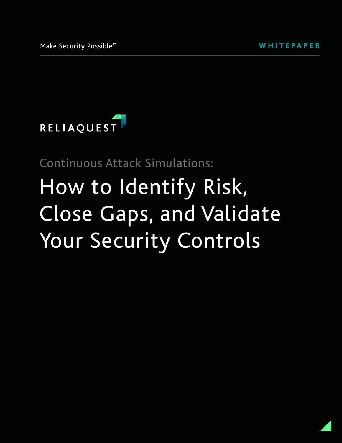

Continuous Attack Simulations:

# How to Identify Risk, Close Gaps, and Validate Your Security Controls

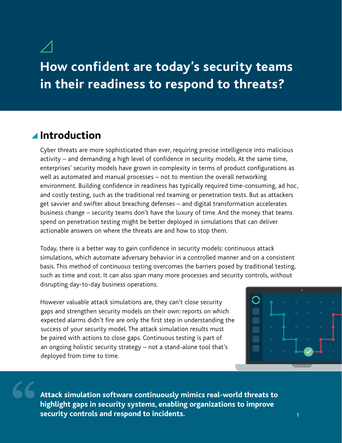# **How confident are today's security teams in their readiness to respond to threats?**

# **Introduction**

Cyber threats are more sophisticated than ever, requiring precise intelligence into malicious activity – and demanding a high level of confidence in security models. At the same time, enterprises' security models have grown in complexity in terms of product configurations as well as automated and manual processes – not to mention the overall networking environment. Building confidence in readiness has typically required time-consuming, ad hoc, and costly testing, such as the traditional red teaming or penetration tests. But as attackers get savvier and swifter about breaching defenses – and digital transformation accelerates business change – security teams don't have the luxury of time. And the money that teams spend on penetration testing might be better deployed in simulations that can deliver actionable answers on where the threats are and how to stop them.

Today, there is a better way to gain confidence in security models: continuous attack simulations, which automate adversary behavior in a controlled manner and on a consistent basis. This method of continuous testing overcomes the barriers posed by traditional testing, such as time and cost. It can also span many more processes and security controls, without disrupting day-to-day business operations.

However valuable attack simulations are, they can't close security gaps and strengthen security models on their own: reports on which expected alarms didn't fire are only the first step in understanding the success of your security model. The attack simulation results must be paired with actions to close gaps. Continuous testing is part of an ongoing holistic security strategy – not a stand-alone tool that's deployed from time to time.



**Attack simulation software continuously mimics real-world threats to highlight gaps in security systems, enabling organizations to improve security controls and respond to incidents.**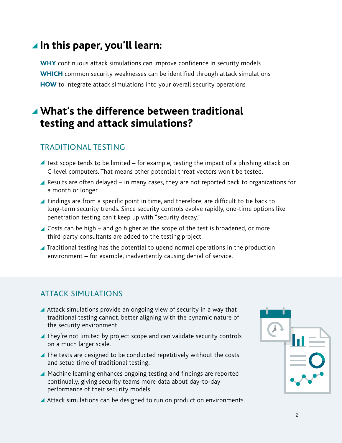# **In this paper, you'll learn:**

WHY continuous attack simulations can improve confidence in security models WHICH common security weaknesses can be identified through attack simulations **HOW** to integrate attack simulations into your overall security operations

# **What's the difference between traditional testing and attack simulations?**

# TRADITIONAL TESTING

- $\blacktriangle$  Test scope tends to be limited for example, testing the impact of a phishing attack on C-level computers. That means other potential threat vectors won't be tested.
- **A** Results are often delayed  $-$  in many cases, they are not reported back to organizations for a month or longer.
- **Findings are from a specific point in time, and therefore, are difficult to tie back to**  long-term security trends. Since security controls evolve rapidly, one-time options like penetration testing can't keep up with "security decay."
- Costs can be high and go higher as the scope of the test is broadened, or more third-party consultants are added to the testing project.
- **Traditional testing has the potential to upend normal operations in the production** environment – for example, inadvertently causing denial of service.

# ATTACK SIMULATIONS

- A Attack simulations provide an ongoing view of security in a way that traditional testing cannot, better aligning with the dynamic nature of the security environment.
- They're not limited by project scope and can validate security controls on a much larger scale.
- The tests are designed to be conducted repetitively without the costs and setup time of traditional testing.
- ▲ Machine learning enhances ongoing testing and findings are reported continually, giving security teams more data about day-to-day performance of their security models.
- ▲ Attack simulations can be designed to run on production environments.

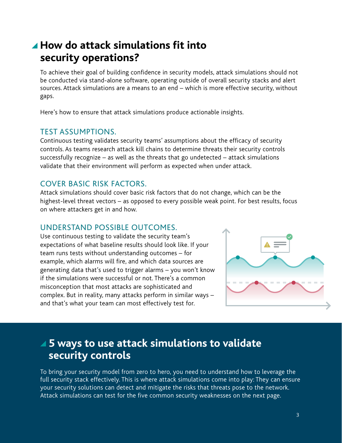# **How do attack simulations fit into security operations?**

To achieve their goal of building confidence in security models, attack simulations should not be conducted via stand-alone software, operating outside of overall security stacks and alert sources. Attack simulations are a means to an end – which is more effective security, without gaps.

Here's how to ensure that attack simulations produce actionable insights.

#### TEST ASSUMPTIONS.

Continuous testing validates security teams' assumptions about the efficacy of security controls. As teams research attack kill chains to determine threats their security controls successfully recognize – as well as the threats that go undetected – attack simulations validate that their environment will perform as expected when under attack.

#### COVER BASIC RISK FACTORS.

Attack simulations should cover basic risk factors that do not change, which can be the highest-level threat vectors – as opposed to every possible weak point. For best results, focus on where attackers get in and how.

#### UNDERSTAND POSSIBLE OUTCOMES.

Use continuous testing to validate the security team's expectations of what baseline results should look like. If your team runs tests without understanding outcomes – for example, which alarms will fire, and which data sources are generating data that's used to trigger alarms – you won't know if the simulations were successful or not. There's a common misconception that most attacks are sophisticated and complex. But in reality, many attacks perform in similar ways – and that's what your team can most effectively test for.



# **5 ways to use attack simulations to validate security controls**

To bring your security model from zero to hero, you need to understand how to leverage the full security stack effectively. This is where attack simulations come into play: They can ensure your security solutions can detect and mitigate the risks that threats pose to the network. Attack simulations can test for the five common security weaknesses on the next page.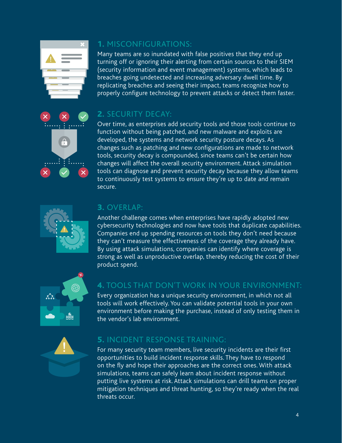



# 1. MISCONFIGURATIONS:

Many teams are so inundated with false positives that they end up turning off or ignoring their alerting from certain sources to their SIEM (security information and event management) systems, which leads to breaches going undetected and increasing adversary dwell time. By replicating breaches and seeing their impact, teams recognize how to properly configure technology to prevent attacks or detect them faster.

# 2. SECURITY DECAY:

Over time, as enterprises add security tools and those tools continue to function without being patched, and new malware and exploits are developed, the systems and network security posture decays. As changes such as patching and new configurations are made to network tools, security decay is compounded, since teams can't be certain how changes will affect the overall security environment. Attack simulation tools can diagnose and prevent security decay because they allow teams to continuously test systems to ensure they're up to date and remain secure.



# 3. OVERLAP:

Another challenge comes when enterprises have rapidly adopted new cybersecurity technologies and now have tools that duplicate capabilities. Companies end up spending resources on tools they don't need because they can't measure the effectiveness of the coverage they already have. By using attack simulations, companies can identify where coverage is strong as well as unproductive overlap, thereby reducing the cost of their product spend.



# 4. TOOLS THAT DON'T WORK IN YOUR ENVIRONMENT:

Every organization has a unique security environment, in which not all tools will work effectively. You can validate potential tools in your own environment before making the purchase, instead of only testing them in the vendor's lab environment.



#### 5. INCIDENT RESPONSE TRAINING:

For many security team members, live security incidents are their first opportunities to build incident response skills. They have to respond on the fly and hope their approaches are the correct ones. With attack simulations, teams can safely learn about incident response without putting live systems at risk. Attack simulations can drill teams on proper mitigation techniques and threat hunting, so they're ready when the real threats occur.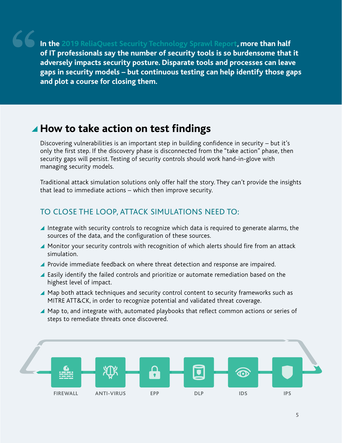**In the [2019 ReliaQuest Security Technology Sprawl Report,](https://www.reliaquest.com/resources/vendor-sprawl-survey-report/) more than half of IT professionals say the number of security tools is so burdensome that it adversely impacts security posture. Disparate tools and processes can leave gaps in security models – but continuous testing can help identify those gaps and plot a course for closing them.**

# ▲ How to take action on test findings

Discovering vulnerabilities is an important step in building confidence in security – but it's only the first step. If the discovery phase is disconnected from the "take action" phase, then security gaps will persist. Testing of security controls should work hand-in-glove with managing security models.

Traditional attack simulation solutions only offer half the story. They can't provide the insights that lead to immediate actions – which then improve security.

#### TO CLOSE THE LOOP, ATTACK SIMULATIONS NEED TO:

- Integrate with security controls to recognize which data is required to generate alarms, the sources of the data, and the configuration of these sources.
- ▲ Monitor your security controls with recognition of which alerts should fire from an attack simulation.
- **Provide immediate feedback on where threat detection and response are impaired.**
- ▲ Easily identify the failed controls and prioritize or automate remediation based on the highest level of impact.
- ▲ Map both attack techniques and security control content to security frameworks such as MITRE ATT&CK, in order to recognize potential and validated threat coverage.
- ▲ Map to, and integrate with, automated playbooks that reflect common actions or series of steps to remediate threats once discovered.

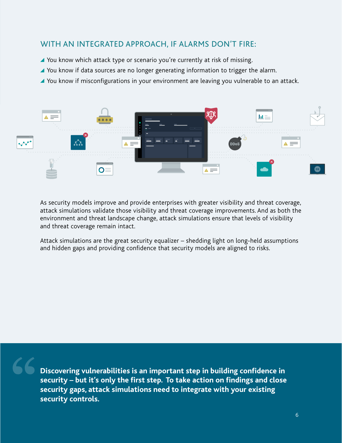#### WITH AN INTEGRATED APPROACH, IF ALARMS DON'T FIRE:

- ▲ You know which attack type or scenario you're currently at risk of missing.
- ▲ You know if data sources are no longer generating information to trigger the alarm.
- You know if misconfigurations in your environment are leaving you vulnerable to an attack.



As security models improve and provide enterprises with greater visibility and threat coverage, attack simulations validate those visibility and threat coverage improvements. And as both the environment and threat landscape change, attack simulations ensure that levels of visibility and threat coverage remain intact.

Attack simulations are the great security equalizer – shedding light on long-held assumptions and hidden gaps and providing confidence that security models are aligned to risks.

**Discovering vulnerabilities is an important step in building confidence in security – but it's only the first step. To take action on findings and close security gaps, attack simulations need to integrate with your existing security controls.**